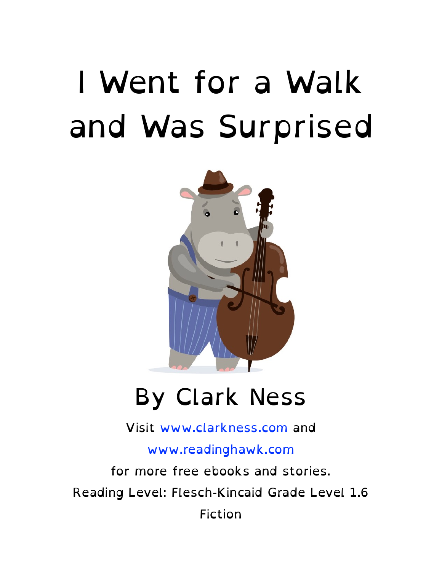#### I Went for a Walk and Was Surprised



#### By Clark Ness

Visit [www.clarkness.com](http://www.clarkness.com) and

[www.readinghawk.com](http://www.readinghawk.com)

for more free ebooks and stories. Reading Level: Flesch-Kincaid Grade Level 1.6 Fiction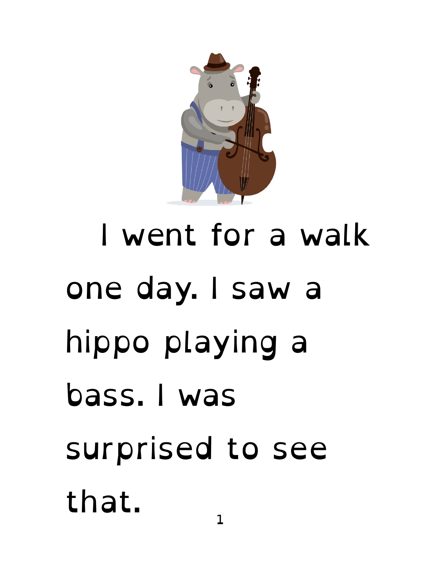

 I went for a walk one day. I saw a hippo playing a bass. I was surprised to see that.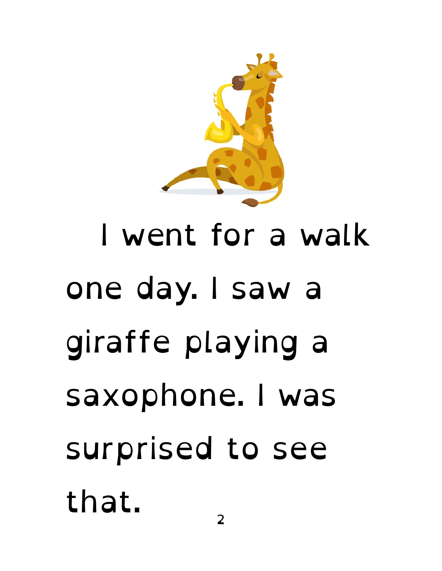#### I went for a walk one day. I saw a giraffe playing a saxophone. I was surprised to see that. 2

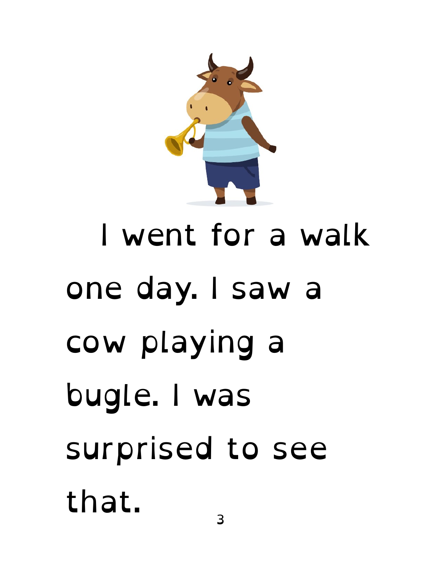

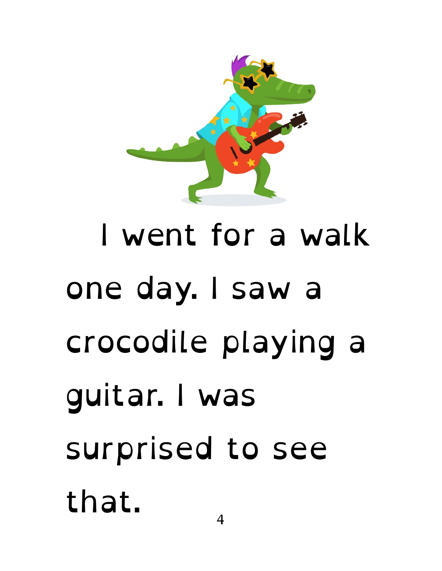

# I went for a walk one day. I saw a crocodile playing a guitar. I was surprised to see that.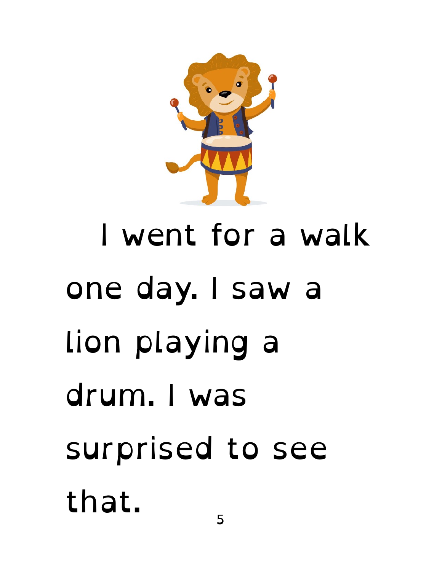

# I went for a walk one day. I saw a lion playing a drum. I was surprised to see that.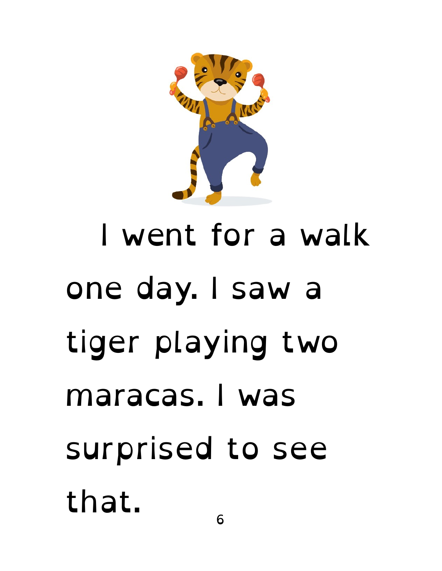

 I went for a walk one day. I saw a tiger playing two maracas. I was surprised to see that.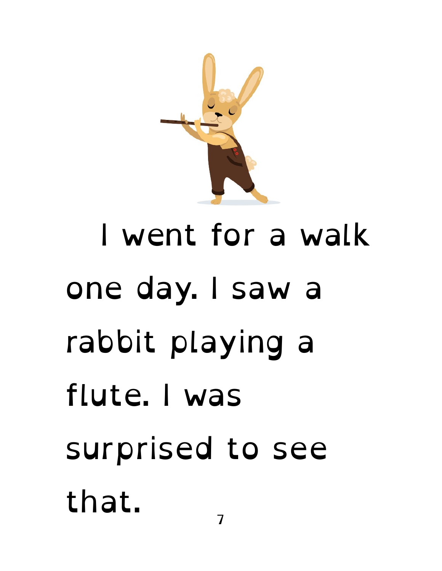

# I went for a walk one day. I saw a rabbit playing a flute. I was surprised to see that.